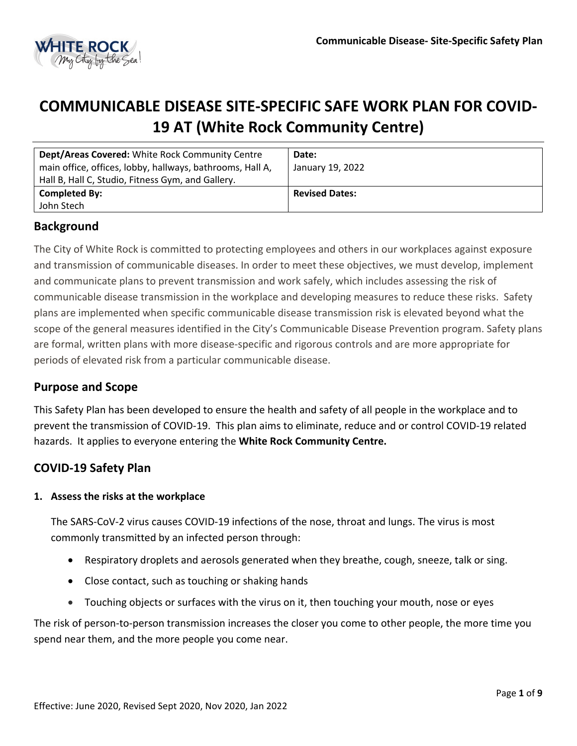

# **COMMUNICABLE DISEASE SITE-SPECIFIC SAFE WORK PLAN FOR COVID-19 AT (White Rock Community Centre)**

| Dept/Areas Covered: White Rock Community Centre<br>main office, offices, lobby, hallways, bathrooms, Hall A,<br>Hall B, Hall C, Studio, Fitness Gym, and Gallery. | Date:<br>January 19, 2022 |
|-------------------------------------------------------------------------------------------------------------------------------------------------------------------|---------------------------|
| <b>Completed By:</b><br>John Stech                                                                                                                                | <b>Revised Dates:</b>     |

# **Background**

The City of White Rock is committed to protecting employees and others in our workplaces against exposure and transmission of communicable diseases. In order to meet these objectives, we must develop, implement and communicate plans to prevent transmission and work safely, which includes assessing the risk of communicable disease transmission in the workplace and developing measures to reduce these risks. Safety plans are implemented when specific communicable disease transmission risk is elevated beyond what the scope of the general measures identified in the City's Communicable Disease Prevention program. Safety plans are formal, written plans with more disease-specific and rigorous controls and are more appropriate for periods of elevated risk from a particular communicable disease.

# **Purpose and Scope**

This Safety Plan has been developed to ensure the health and safety of all people in the workplace and to prevent the transmission of COVID-19. This plan aims to eliminate, reduce and or control COVID-19 related hazards. It applies to everyone entering the **White Rock Community Centre.**

# **COVID-19 Safety Plan**

#### **1. Assess the risks at the workplace**

The SARS-CoV-2 virus causes COVID-19 infections of the nose, throat and lungs. The virus is most commonly transmitted by an infected person through:

- Respiratory droplets and aerosols generated when they breathe, cough, sneeze, talk or sing.
- Close contact, such as touching or shaking hands
- Touching objects or surfaces with the virus on it, then touching your mouth, nose or eyes

The risk of person-to-person transmission increases the closer you come to other people, the more time you spend near them, and the more people you come near.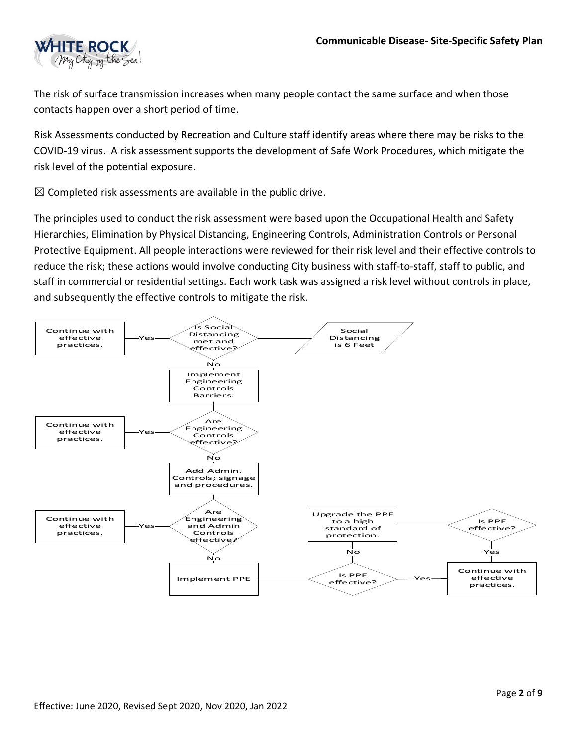

The risk of surface transmission increases when many people contact the same surface and when those contacts happen over a short period of time.

Risk Assessments conducted by Recreation and Culture staff identify areas where there may be risks to the COVID-19 virus. A risk assessment supports the development of Safe Work Procedures, which mitigate the risk level of the potential exposure.

 $\boxtimes$  Completed risk assessments are available in the public drive.

The principles used to conduct the risk assessment were based upon the Occupational Health and Safety Hierarchies, Elimination by Physical Distancing, Engineering Controls, Administration Controls or Personal Protective Equipment. All people interactions were reviewed for their risk level and their effective controls to reduce the risk; these actions would involve conducting City business with staff-to-staff, staff to public, and staff in commercial or residential settings. Each work task was assigned a risk level without controls in place, and subsequently the effective controls to mitigate the risk.

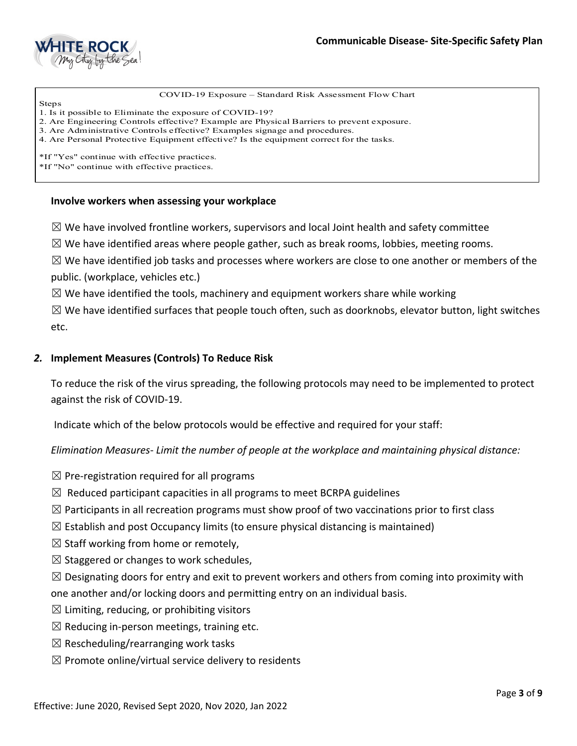

COVID-19 Exposure – Standard Risk Assessment Flow Chart

Steps 1. Is it possible to Eliminate the exposure of COVID-19?

2. Are Engineering Controls effective? Example are Physical Barriers to prevent exposure.

3. Are Administrative Controls effective? Examples signage and procedures.

4. Are Personal Protective Equipment effective? Is the equipment correct for the tasks.

\*If "Yes" continue with effective practices.

\*If "No" continue with effective practices.

#### **Involve workers when assessing your workplace**

 $\boxtimes$  We have involved frontline workers, supervisors and local Joint health and safety committee

 $\boxtimes$  We have identified areas where people gather, such as break rooms, lobbies, meeting rooms.

 $\boxtimes$  We have identified job tasks and processes where workers are close to one another or members of the public. (workplace, vehicles etc.)

 $\boxtimes$  We have identified the tools, machinery and equipment workers share while working

 $\boxtimes$  We have identified surfaces that people touch often, such as doorknobs, elevator button, light switches etc.

#### *2.* **Implement Measures (Controls) To Reduce Risk**

To reduce the risk of the virus spreading, the following protocols may need to be implemented to protect against the risk of COVID-19.

Indicate which of the below protocols would be effective and required for your staff:

*Elimination Measures- Limit the number of people at the workplace and maintaining physical distance:* 

- $\boxtimes$  Pre-registration required for all programs
- $\boxtimes$  Reduced participant capacities in all programs to meet BCRPA guidelines
- $\boxtimes$  Participants in all recreation programs must show proof of two vaccinations prior to first class
- $\boxtimes$  Establish and post Occupancy limits (to ensure physical distancing is maintained)
- $\boxtimes$  Staff working from home or remotely,
- $\boxtimes$  Staggered or changes to work schedules,

 $\boxtimes$  Designating doors for entry and exit to prevent workers and others from coming into proximity with one another and/or locking doors and permitting entry on an individual basis.

- $\boxtimes$  Limiting, reducing, or prohibiting visitors
- $\boxtimes$  Reducing in-person meetings, training etc.
- $\boxtimes$  Rescheduling/rearranging work tasks
- $\boxtimes$  Promote online/virtual service delivery to residents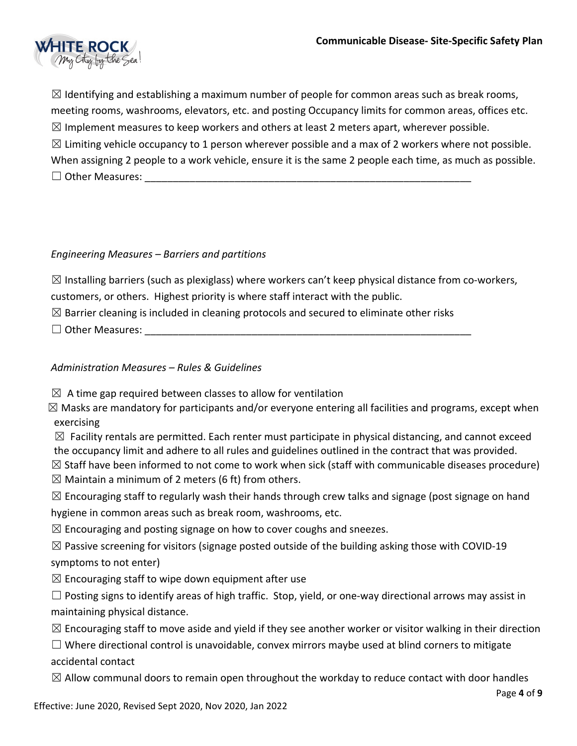

 $\boxtimes$  Identifying and establishing a maximum number of people for common areas such as break rooms, meeting rooms, washrooms, elevators, etc. and posting Occupancy limits for common areas, offices etc.  $\boxtimes$  Implement measures to keep workers and others at least 2 meters apart, wherever possible.  $\boxtimes$  Limiting vehicle occupancy to 1 person wherever possible and a max of 2 workers where not possible. When assigning 2 people to a work vehicle, ensure it is the same 2 people each time, as much as possible.  $\Box$  Other Measures:

# *Engineering Measures – Barriers and partitions*

 $\boxtimes$  Installing barriers (such as plexiglass) where workers can't keep physical distance from co-workers, customers, or others. Highest priority is where staff interact with the public.

 $\boxtimes$  Barrier cleaning is included in cleaning protocols and secured to eliminate other risks

 $\Box$  Other Measures:

# *Administration Measures – Rules & Guidelines*

 $\boxtimes$  A time gap required between classes to allow for ventilation

 $\boxtimes$  Masks are mandatory for participants and/or everyone entering all facilities and programs, except when exercising

 $\boxtimes$  Facility rentals are permitted. Each renter must participate in physical distancing, and cannot exceed the occupancy limit and adhere to all rules and guidelines outlined in the contract that was provided.

 $\boxtimes$  Staff have been informed to not come to work when sick (staff with communicable diseases procedure)

 $\boxtimes$  Maintain a minimum of 2 meters (6 ft) from others.

 $\boxtimes$  Encouraging staff to regularly wash their hands through crew talks and signage (post signage on hand hygiene in common areas such as break room, washrooms, etc.

 $\boxtimes$  Encouraging and posting signage on how to cover coughs and sneezes.

 $\boxtimes$  Passive screening for visitors (signage posted outside of the building asking those with COVID-19 symptoms to not enter)

 $\boxtimes$  Encouraging staff to wipe down equipment after use

 $\Box$  Posting signs to identify areas of high traffic. Stop, yield, or one-way directional arrows may assist in maintaining physical distance.

 $\boxtimes$  Encouraging staff to move aside and yield if they see another worker or visitor walking in their direction

 $\Box$  Where directional control is unavoidable, convex mirrors maybe used at blind corners to mitigate accidental contact

 $\boxtimes$  Allow communal doors to remain open throughout the workday to reduce contact with door handles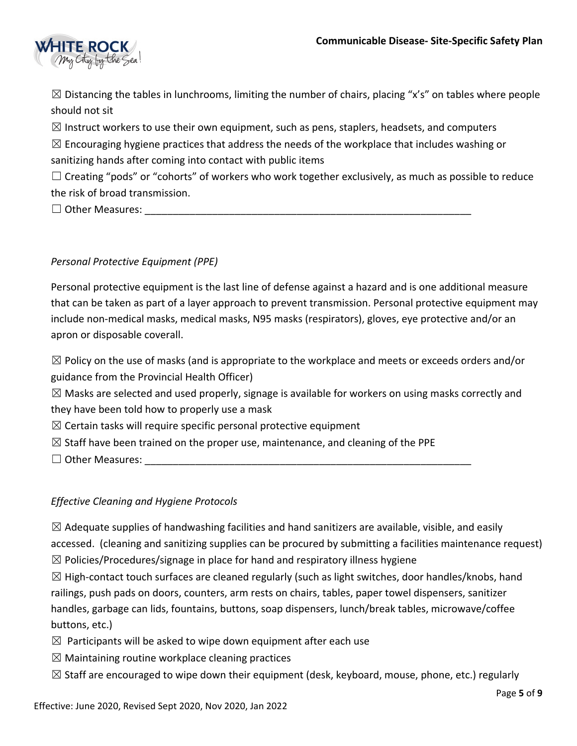

 $\boxtimes$  Distancing the tables in lunchrooms, limiting the number of chairs, placing "x's" on tables where people should not sit

 $\boxtimes$  Instruct workers to use their own equipment, such as pens, staplers, headsets, and computers

 $\boxtimes$  Encouraging hygiene practices that address the needs of the workplace that includes washing or sanitizing hands after coming into contact with public items

 $\Box$  Creating "pods" or "cohorts" of workers who work together exclusively, as much as possible to reduce the risk of broad transmission.

 $\Box$  Other Measures:

# *Personal Protective Equipment (PPE)*

Personal protective equipment is the last line of defense against a hazard and is one additional measure that can be taken as part of a layer approach to prevent transmission. Personal protective equipment may include non-medical masks, medical masks, N95 masks (respirators), gloves, eye protective and/or an apron or disposable coverall.

 $\boxtimes$  Policy on the use of masks (and is appropriate to the workplace and meets or exceeds orders and/or guidance from the Provincial Health Officer)

 $\boxtimes$  Masks are selected and used properly, signage is available for workers on using masks correctly and they have been told how to properly use a mask

 $\boxtimes$  Certain tasks will require specific personal protective equipment

 $\boxtimes$  Staff have been trained on the proper use, maintenance, and cleaning of the PPE

 $\Box$  Other Measures:

# *Effective Cleaning and Hygiene Protocols*

 $\boxtimes$  Adequate supplies of handwashing facilities and hand sanitizers are available, visible, and easily accessed. (cleaning and sanitizing supplies can be procured by submitting a facilities maintenance request)  $\boxtimes$  Policies/Procedures/signage in place for hand and respiratory illness hygiene

 $\boxtimes$  High-contact touch surfaces are cleaned regularly (such as light switches, door handles/knobs, hand railings, push pads on doors, counters, arm rests on chairs, tables, paper towel dispensers, sanitizer handles, garbage can lids, fountains, buttons, soap dispensers, lunch/break tables, microwave/coffee buttons, etc.)

 $\boxtimes$  Participants will be asked to wipe down equipment after each use

- $\boxtimes$  Maintaining routine workplace cleaning practices
- $\boxtimes$  Staff are encouraged to wipe down their equipment (desk, keyboard, mouse, phone, etc.) regularly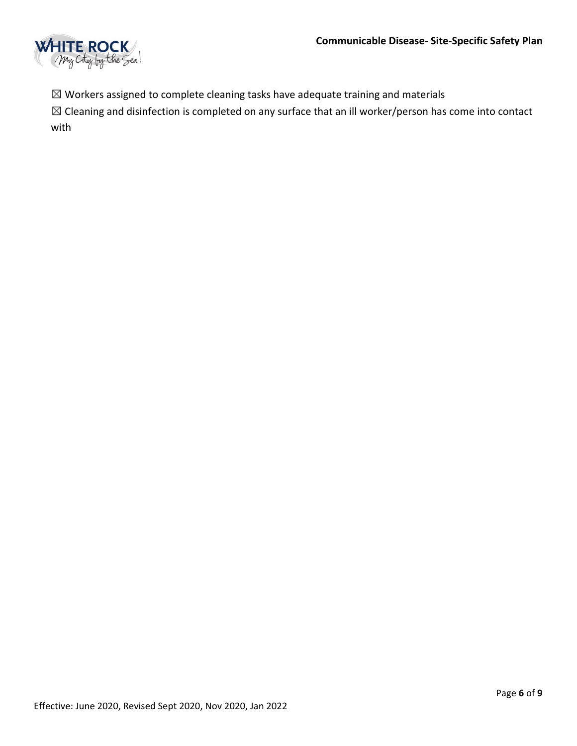

 $\boxtimes$  Workers assigned to complete cleaning tasks have adequate training and materials

☒ Cleaning and disinfection is completed on any surface that an ill worker/person has come into contact with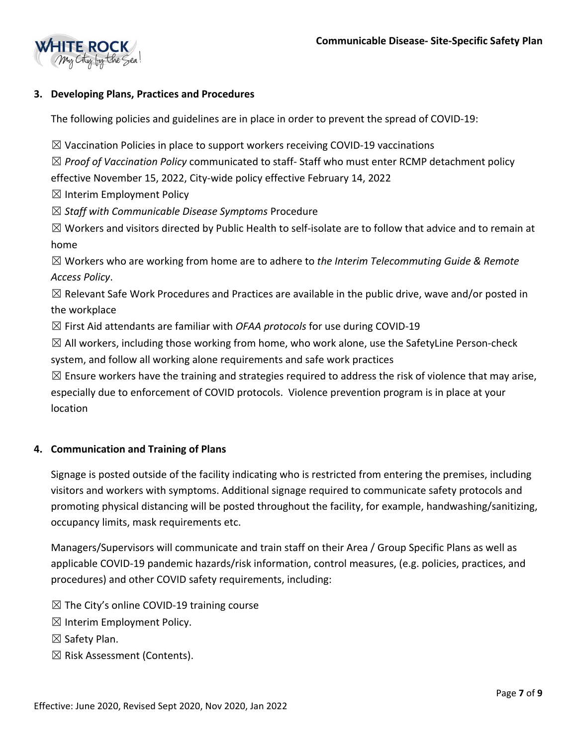

### **3. Developing Plans, Practices and Procedures**

The following policies and guidelines are in place in order to prevent the spread of COVID-19:

 $\boxtimes$  Vaccination Policies in place to support workers receiving COVID-19 vaccinations

☒ *Proof of Vaccination Policy* communicated to staff- Staff who must enter RCMP detachment policy effective November 15, 2022, City-wide policy effective February 14, 2022

 $\boxtimes$  Interim Employment Policy

☒ *Staff with Communicable Disease Symptoms* Procedure

 $\boxtimes$  Workers and visitors directed by Public Health to self-isolate are to follow that advice and to remain at home

☒ Workers who are working from home are to adhere to *the Interim Telecommuting Guide & Remote Access Policy*.

 $\boxtimes$  Relevant Safe Work Procedures and Practices are available in the public drive, wave and/or posted in the workplace

☒ First Aid attendants are familiar with *OFAA protocols* for use during COVID-19

 $\boxtimes$  All workers, including those working from home, who work alone, use the SafetyLine Person-check system, and follow all working alone requirements and safe work practices

 $\boxtimes$  Ensure workers have the training and strategies required to address the risk of violence that may arise, especially due to enforcement of COVID protocols. Violence prevention program is in place at your location

#### **4. Communication and Training of Plans**

Signage is posted outside of the facility indicating who is restricted from entering the premises, including visitors and workers with symptoms. Additional signage required to communicate safety protocols and promoting physical distancing will be posted throughout the facility, for example, handwashing/sanitizing, occupancy limits, mask requirements etc.

Managers/Supervisors will communicate and train staff on their Area / Group Specific Plans as well as applicable COVID-19 pandemic hazards/risk information, control measures, (e.g. policies, practices, and procedures) and other COVID safety requirements, including:

 $\boxtimes$  The City's online COVID-19 training course

 $\boxtimes$  Interim Employment Policy.

☒ Safety Plan.

☒ Risk Assessment (Contents).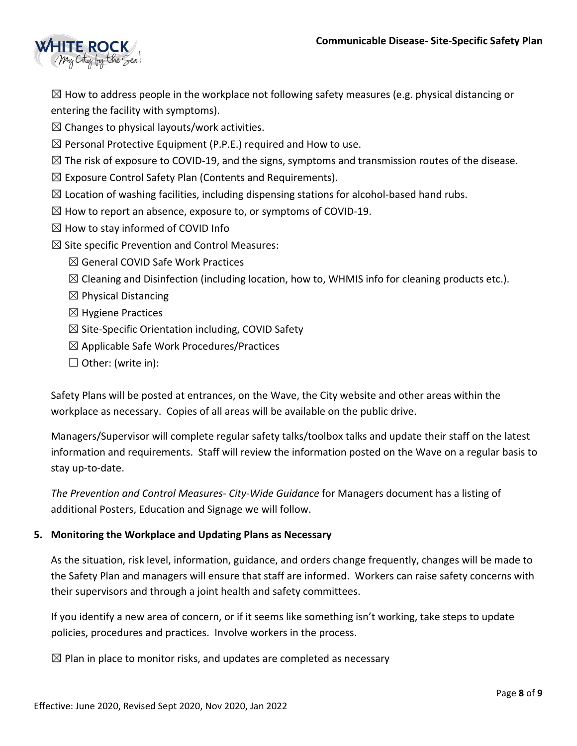

 $\boxtimes$  How to address people in the workplace not following safety measures (e.g. physical distancing or entering the facility with symptoms).

- $\boxtimes$  Changes to physical layouts/work activities.
- $\boxtimes$  Personal Protective Equipment (P.P.E.) required and How to use.
- $\boxtimes$  The risk of exposure to COVID-19, and the signs, symptoms and transmission routes of the disease.
- $\boxtimes$  Exposure Control Safety Plan (Contents and Requirements).
- $\boxtimes$  Location of washing facilities, including dispensing stations for alcohol-based hand rubs.
- $\boxtimes$  How to report an absence, exposure to, or symptoms of COVID-19.
- $\boxtimes$  How to stay informed of COVID Info
- $\boxtimes$  Site specific Prevention and Control Measures:
	- ☒ General COVID Safe Work Practices
	- $\boxtimes$  Cleaning and Disinfection (including location, how to, WHMIS info for cleaning products etc.).
	- $\boxtimes$  Physical Distancing
	- $\boxtimes$  Hygiene Practices
	- $\boxtimes$  Site-Specific Orientation including, COVID Safety
	- $\boxtimes$  Applicable Safe Work Procedures/Practices
	- ☐ Other: (write in):

Safety Plans will be posted at entrances, on the Wave, the City website and other areas within the workplace as necessary. Copies of all areas will be available on the public drive.

Managers/Supervisor will complete regular safety talks/toolbox talks and update their staff on the latest information and requirements. Staff will review the information posted on the Wave on a regular basis to stay up-to-date.

*The Prevention and Control Measures- City-Wide Guidance* for Managers document has a listing of additional Posters, Education and Signage we will follow.

#### **5. Monitoring the Workplace and Updating Plans as Necessary**

As the situation, risk level, information, guidance, and orders change frequently, changes will be made to the Safety Plan and managers will ensure that staff are informed. Workers can raise safety concerns with their supervisors and through a joint health and safety committees.

If you identify a new area of concern, or if it seems like something isn't working, take steps to update policies, procedures and practices. Involve workers in the process.

 $\boxtimes$  Plan in place to monitor risks, and updates are completed as necessary